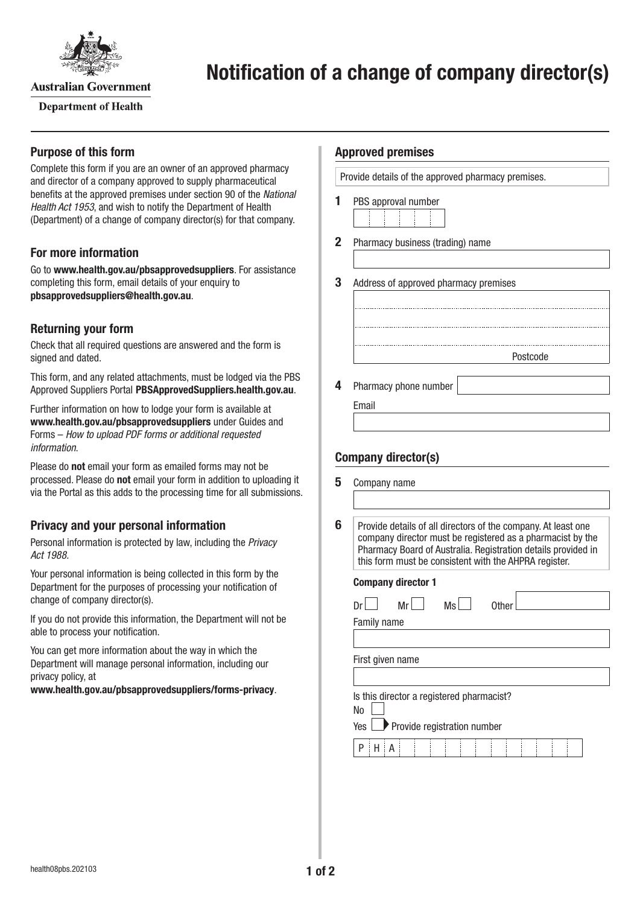

**Australian Government** 

**Department of Health** 

## **Purpose of this form**

Complete this form if you are an owner of an approved pharmacy and director of a company approved to supply pharmaceutical benefits at the approved premises under section 90 of the *National Health Act 1953*, and wish to notify the Department of Health (Department) of a change of company director(s) for that company.

## **For more information**

Go to **[www.health.gov.au/pbsapprovedsuppliers](http://www.health.gov.au/pbsapprovedsuppliers)**. For assistance completing this form, email details of your enquiry to **[pbsapprovedsuppliers@health.gov.au](mailto:pbsapprovedsuppliers@health.gov.au)**.

## **Returning your form**

Check that all required questions are answered and the form is signed and dated.

This form, and any related attachments, must be lodged via the PBS Approved Suppliers Portal [PBSApprovedSuppliers.health.gov.au](http://PBSApprovedSuppliers.health.gov.au).

Further information on how to lodge your form is available at **[www.health.gov.au/pbsapprovedsuppliers](http://www.health.gov.au/pbsapprovedsuppliers)** under Guides and Forms – *How to upload PDF forms or additional requested information*.

Please do **not** email your form as emailed forms may not be processed. Please do **not** email your form in addition to uploading it via the Portal as this adds to the processing time for all submissions.

## **Privacy and your personal information**

Personal information is protected by law, including the *Privacy Act 1988.*

Your personal information is being collected in this form by the Department for the purposes of processing your notification of change of company director(s).

If you do not provide this information, the Department will not be able to process your notification.

You can get more information about the way in which the Department will manage personal information, including our privacy policy, at

**[www.health.gov.au/pbsapprovedsuppliers/forms-privacy](http://www.health.gov.au/pbsapprovedsuppliers/forms-privacy)**.

#### **Approved premises**

Provide details of the approved pharmacy premises.

- **1** PBS approval number
	-
- **2** Pharmacy business (trading) name
- **3** Address of approved pharmacy premises
- **4** Pharmacy phone number
	- Email

# **Company director(s)**

| 5 | Company name                                                                                                                                                                                                                                          |
|---|-------------------------------------------------------------------------------------------------------------------------------------------------------------------------------------------------------------------------------------------------------|
|   |                                                                                                                                                                                                                                                       |
|   |                                                                                                                                                                                                                                                       |
| 6 | Provide details of all directors of the company. At least one<br>company director must be registered as a pharmacist by the<br>Pharmacy Board of Australia. Registration details provided in<br>this form must be consistent with the AHPRA register. |

Postcode

#### **Company director 1**

| Ms<br>Mr<br>Other<br>Dr                   |  |  |  |
|-------------------------------------------|--|--|--|
| Family name                               |  |  |  |
|                                           |  |  |  |
| First given name                          |  |  |  |
|                                           |  |  |  |
| Is this director a registered pharmacist? |  |  |  |
| No                                        |  |  |  |
| Provide registration number<br>Yes $\Box$ |  |  |  |
| P                                         |  |  |  |